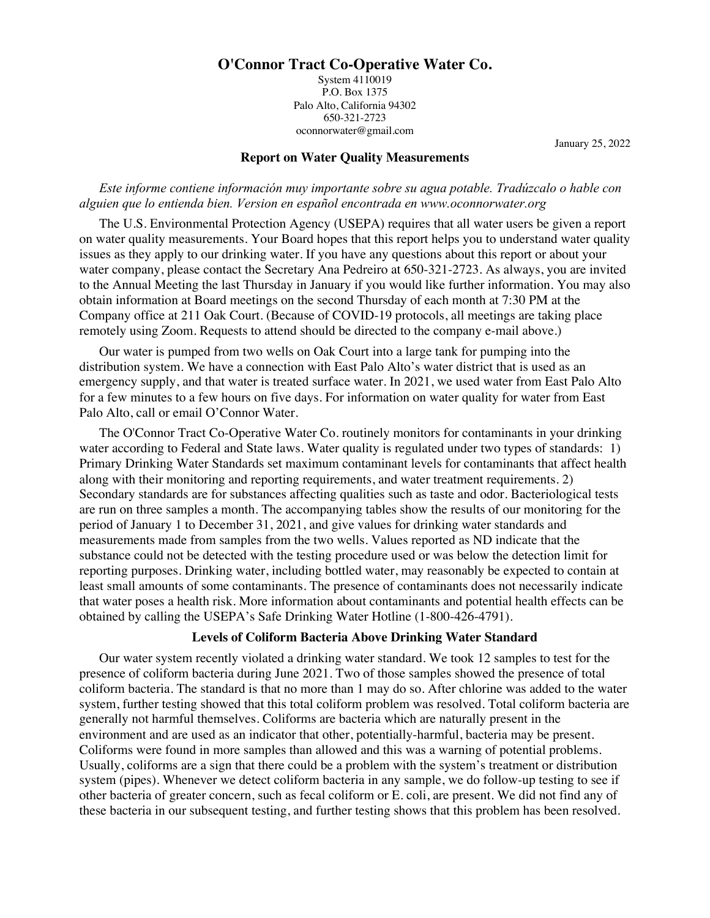# **O'Connor Tract Co-Operative Water Co.**

System 4110019 P.O. Box 1375 Palo Alto, California 94302 650-321-2723 oconnorwater@gmail.com

January 25, 2022

## **Report on Water Quality Measurements**

*Este informe contiene información muy importante sobre su agua potable. Tradúzcalo o hable con alguien que lo entienda bien. Version en español encontrada en www.oconnorwater.org*

The U.S. Environmental Protection Agency (USEPA) requires that all water users be given a report on water quality measurements. Your Board hopes that this report helps you to understand water quality issues as they apply to our drinking water. If you have any questions about this report or about your water company, please contact the Secretary Ana Pedreiro at 650-321-2723. As always, you are invited to the Annual Meeting the last Thursday in January if you would like further information. You may also obtain information at Board meetings on the second Thursday of each month at 7:30 PM at the Company office at 211 Oak Court. (Because of COVID-19 protocols, all meetings are taking place remotely using Zoom. Requests to attend should be directed to the company e-mail above.)

Our water is pumped from two wells on Oak Court into a large tank for pumping into the distribution system. We have a connection with East Palo Alto's water district that is used as an emergency supply, and that water is treated surface water. In 2021, we used water from East Palo Alto for a few minutes to a few hours on five days. For information on water quality for water from East Palo Alto, call or email O'Connor Water.

The O'Connor Tract Co-Operative Water Co. routinely monitors for contaminants in your drinking water according to Federal and State laws. Water quality is regulated under two types of standards: 1) Primary Drinking Water Standards set maximum contaminant levels for contaminants that affect health along with their monitoring and reporting requirements, and water treatment requirements. 2) Secondary standards are for substances affecting qualities such as taste and odor. Bacteriological tests are run on three samples a month. The accompanying tables show the results of our monitoring for the period of January 1 to December 31, 2021, and give values for drinking water standards and measurements made from samples from the two wells. Values reported as ND indicate that the substance could not be detected with the testing procedure used or was below the detection limit for reporting purposes. Drinking water, including bottled water, may reasonably be expected to contain at least small amounts of some contaminants. The presence of contaminants does not necessarily indicate that water poses a health risk. More information about contaminants and potential health effects can be obtained by calling the USEPA's Safe Drinking Water Hotline (1-800-426-4791).

### **Levels of Coliform Bacteria Above Drinking Water Standard**

Our water system recently violated a drinking water standard. We took 12 samples to test for the presence of coliform bacteria during June 2021. Two of those samples showed the presence of total coliform bacteria. The standard is that no more than 1 may do so. After chlorine was added to the water system, further testing showed that this total coliform problem was resolved. Total coliform bacteria are generally not harmful themselves. Coliforms are bacteria which are naturally present in the environment and are used as an indicator that other, potentially-harmful, bacteria may be present. Coliforms were found in more samples than allowed and this was a warning of potential problems. Usually, coliforms are a sign that there could be a problem with the system's treatment or distribution system (pipes). Whenever we detect coliform bacteria in any sample, we do follow-up testing to see if other bacteria of greater concern, such as fecal coliform or E. coli, are present. We did not find any of these bacteria in our subsequent testing, and further testing shows that this problem has been resolved.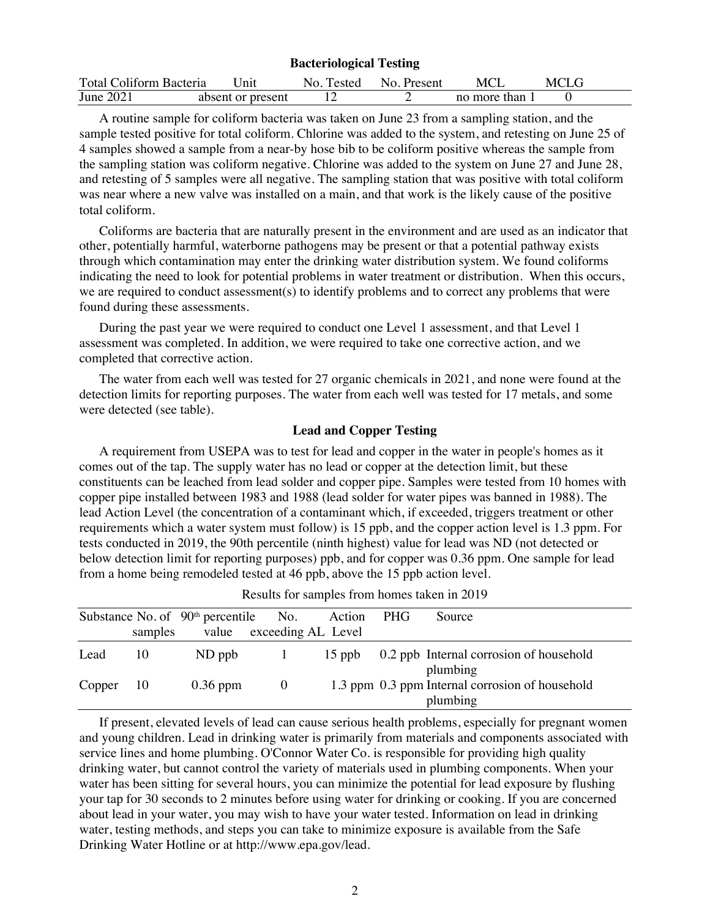| <b>Bacteriological Testing</b> |                   |            |             |                |      |  |  |
|--------------------------------|-------------------|------------|-------------|----------------|------|--|--|
| Total Coliform Bacteria        | Unit              | No. Tested | No. Present | MCI            | MCLG |  |  |
| June 2021                      | absent or present |            |             | no more than 1 |      |  |  |

A routine sample for coliform bacteria was taken on June 23 from a sampling station, and the sample tested positive for total coliform. Chlorine was added to the system, and retesting on June 25 of 4 samples showed a sample from a near-by hose bib to be coliform positive whereas the sample from the sampling station was coliform negative. Chlorine was added to the system on June 27 and June 28, and retesting of 5 samples were all negative. The sampling station that was positive with total coliform was near where a new valve was installed on a main, and that work is the likely cause of the positive total coliform.

Coliforms are bacteria that are naturally present in the environment and are used as an indicator that other, potentially harmful, waterborne pathogens may be present or that a potential pathway exists through which contamination may enter the drinking water distribution system. We found coliforms indicating the need to look for potential problems in water treatment or distribution. When this occurs, we are required to conduct assessment(s) to identify problems and to correct any problems that were found during these assessments.

During the past year we were required to conduct one Level 1 assessment, and that Level 1 assessment was completed. In addition, we were required to take one corrective action, and we completed that corrective action.

The water from each well was tested for 27 organic chemicals in 2021, and none were found at the detection limits for reporting purposes. The water from each well was tested for 17 metals, and some were detected (see table).

#### **Lead and Copper Testing**

A requirement from USEPA was to test for lead and copper in the water in people's homes as it comes out of the tap. The supply water has no lead or copper at the detection limit, but these constituents can be leached from lead solder and copper pipe. Samples were tested from 10 homes with copper pipe installed between 1983 and 1988 (lead solder for water pipes was banned in 1988). The lead Action Level (the concentration of a contaminant which, if exceeded, triggers treatment or other requirements which a water system must follow) is 15 ppb, and the copper action level is 1.3 ppm. For tests conducted in 2019, the 90th percentile (ninth highest) value for lead was ND (not detected or below detection limit for reporting purposes) ppb, and for copper was 0.36 ppm. One sample for lead from a home being remodeled tested at 46 ppb, above the 15 ppb action level.

|               |         | Substance No. of $90th$ percentile | No.                      | Action   | PHG | Source                                                      |  |
|---------------|---------|------------------------------------|--------------------------|----------|-----|-------------------------------------------------------------|--|
|               | samples |                                    | value exceeding AL Level |          |     |                                                             |  |
| Lead          | 10      | ND ppb                             |                          | $15$ ppb |     | 0.2 ppb Internal corrosion of household<br>plumbing         |  |
| $Copper \t10$ |         | $0.36$ ppm                         | $\overline{0}$           |          |     | 1.3 ppm 0.3 ppm Internal corrosion of household<br>plumbing |  |

Results for samples from homes taken in 2019

If present, elevated levels of lead can cause serious health problems, especially for pregnant women and young children. Lead in drinking water is primarily from materials and components associated with service lines and home plumbing. O'Connor Water Co. is responsible for providing high quality drinking water, but cannot control the variety of materials used in plumbing components. When your water has been sitting for several hours, you can minimize the potential for lead exposure by flushing your tap for 30 seconds to 2 minutes before using water for drinking or cooking. If you are concerned about lead in your water, you may wish to have your water tested. Information on lead in drinking water, testing methods, and steps you can take to minimize exposure is available from the Safe Drinking Water Hotline or at http://www.epa.gov/lead.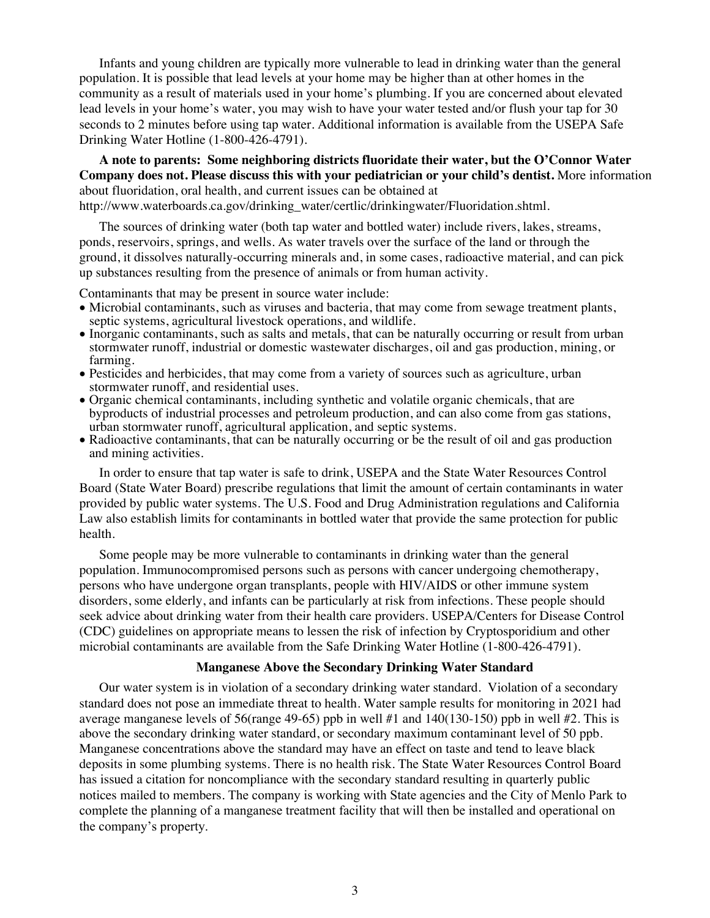Infants and young children are typically more vulnerable to lead in drinking water than the general population. It is possible that lead levels at your home may be higher than at other homes in the community as a result of materials used in your home's plumbing. If you are concerned about elevated lead levels in your home's water, you may wish to have your water tested and/or flush your tap for 30 seconds to 2 minutes before using tap water. Additional information is available from the USEPA Safe Drinking Water Hotline (1-800-426-4791).

**A note to parents: Some neighboring districts fluoridate their water, but the O'Connor Water Company does not. Please discuss this with your pediatrician or your child's dentist.** More information about fluoridation, oral health, and current issues can be obtained at http://www.waterboards.ca.gov/drinking\_water/certlic/drinkingwater/Fluoridation.shtml.

The sources of drinking water (both tap water and bottled water) include rivers, lakes, streams, ponds, reservoirs, springs, and wells. As water travels over the surface of the land or through the ground, it dissolves naturally-occurring minerals and, in some cases, radioactive material, and can pick up substances resulting from the presence of animals or from human activity.

Contaminants that may be present in source water include:

- Microbial contaminants, such as viruses and bacteria, that may come from sewage treatment plants, septic systems, agricultural livestock operations, and wildlife.
- Inorganic contaminants, such as salts and metals, that can be naturally occurring or result from urban stormwater runoff, industrial or domestic wastewater discharges, oil and gas production, mining, or
- Pesticides and herbicides, that may come from a variety of sources such as agriculture, urban stormwater runoff, and residential uses.
- Organic chemical contaminants, including synthetic and volatile organic chemicals, that are byproducts of industrial processes and petroleum production, and can also come from gas stations, urban stormwater runoff, agricultural application, and septic systems.
- Radioactive contaminants, that can be naturally occurring or be the result of oil and gas production and mining activities.

In order to ensure that tap water is safe to drink, USEPA and the State Water Resources Control Board (State Water Board) prescribe regulations that limit the amount of certain contaminants in water provided by public water systems. The U.S. Food and Drug Administration regulations and California Law also establish limits for contaminants in bottled water that provide the same protection for public health.

Some people may be more vulnerable to contaminants in drinking water than the general population. Immunocompromised persons such as persons with cancer undergoing chemotherapy, persons who have undergone organ transplants, people with HIV/AIDS or other immune system disorders, some elderly, and infants can be particularly at risk from infections. These people should seek advice about drinking water from their health care providers. USEPA/Centers for Disease Control (CDC) guidelines on appropriate means to lessen the risk of infection by Cryptosporidium and other microbial contaminants are available from the Safe Drinking Water Hotline (1-800-426-4791).

#### **Manganese Above the Secondary Drinking Water Standard**

Our water system is in violation of a secondary drinking water standard. Violation of a secondary standard does not pose an immediate threat to health. Water sample results for monitoring in 2021 had average manganese levels of 56(range 49-65) ppb in well #1 and 140(130-150) ppb in well #2. This is above the secondary drinking water standard, or secondary maximum contaminant level of 50 ppb. Manganese concentrations above the standard may have an effect on taste and tend to leave black deposits in some plumbing systems. There is no health risk. The State Water Resources Control Board has issued a citation for noncompliance with the secondary standard resulting in quarterly public notices mailed to members. The company is working with State agencies and the City of Menlo Park to complete the planning of a manganese treatment facility that will then be installed and operational on the company's property.